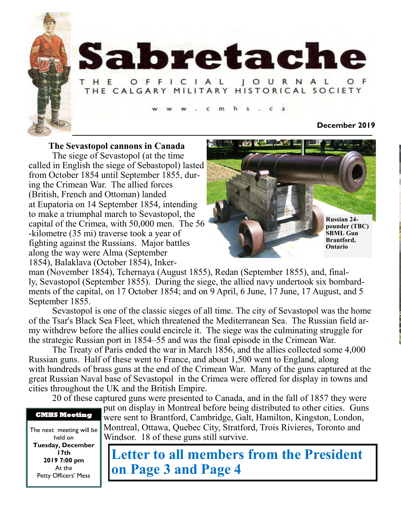

# Sabretache

#### **JOURNAL** H E OFFICIAL THE CALGARY MILITARY HISTORICAL SOCIETY

#### **December 2019**

**The Sevastopol cannons in Canada**

The siege of Sevastopol (at the time called in English the siege of Sebastopol) lasted from October 1854 until September 1855, during the Crimean War. The allied forces (British, French and Ottoman) landed at Eupatoria on 14 September 1854, intending to make a triumphal march to Sevastopol, the capital of the Crimea, with 50,000 men. The 56 -kilometre (35 mi) traverse took a year of fighting against the Russians. Major battles along the way were Alma (September 1854), Balaklava (October 1854), Inker-



man (November 1854), Tchernaya (August 1855), Redan (September 1855), and, finally, Sevastopol (September 1855). During the siege, the allied navy undertook six bombardments of the capital, on 17 October 1854; and on 9 April, 6 June, 17 June, 17 August, and 5 September 1855.

Sevastopol is one of the classic sieges of all time. The city of Sevastopol was the home of the Tsar's Black Sea Fleet, which threatened the Mediterranean Sea. The Russian field army withdrew before the allies could encircle it. The siege was the culminating struggle for the strategic Russian port in 1854–55 and was the final episode in the Crimean War.

The Treaty of Paris ended the war in March 1856, and the allies collected some 4,000 Russian guns. Half of these went to France, and about 1,500 went to England, along with hundreds of brass guns at the end of the Crimean War. Many of the guns captured at the great Russian Naval base of Sevastopol in the Crimea were offered for display in towns and cities throughout the UK and the British Empire.

20 of these captured guns were presented to Canada, and in the fall of 1857 they were



The next meeting will be held on **Tuesday, December 17th 2019 7:00 pm** At the Petty Officers' Mess

put on display in Montreal before being distributed to other cities. Guns were sent to Brantford, Cambridge, Galt, Hamilton, Kingston, London, Montreal, Ottawa, Quebec City, Stratford, Trois Rivieres, Toronto and Windsor. 18 of these guns still survive.

**Letter to all members from the President on Page 3 and Page 4**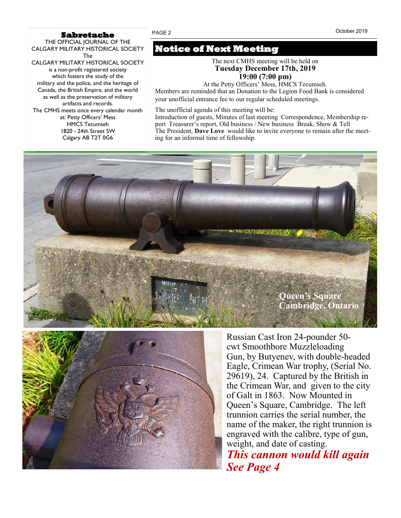#### **Sabretache**

THE OFFICIAL JOURNAL OF THE CALGARY MILITARY HISTORICAL SOCIETY The CALGARY MILITARY HISTORICAL SOCIETY is a non-profit registered society which fosters the study of the military and the police, and the heritage of Canada, the British Empire, and the world as well as the preservation of military artifacts and records. The CMHS meets once every calendar month at: Petty Officers' Mess HMCS Tecumseh 1820 - 24th Street SW

Calgary AB T2T 0G6

## **Notice of Next Meeting**

The next CMHS meeting will be held on **Tuesday December 17th, 2019 19:00 (7:00 pm)**

At the Petty Officers' Mess, HMCS Tecumseh.

Members are reminded that an Donation to the Legion Food Bank is considered your unofficial entrance fee to our regular scheduled meetings*.*

The unofficial agenda of this meeting will be:

Introduction of guests, Minutes of last meeting Correspondence, Membership report Treasurer's report, Old business / New business Break, Show & Tell The President, **Dave Love** would like to invite everyone to remain after the meeting for an informal time of fellowship.





Russian Cast Iron 24-pounder 50 cwt Smoothbore Muzzleloading Gun, by Butyenev, with double-headed Eagle, Crimean War trophy, (Serial No. 29619), 24. Captured by the British in the Crimean War, and given to the city of Galt in 1863. Now Mounted in Queen's Square, Cambridge. The left trunnion carries the serial number, the name of the maker, the right trunnion is engraved with the calibre, type of gun, weight, and date of casting.

*This cannon would kill again See Page 4*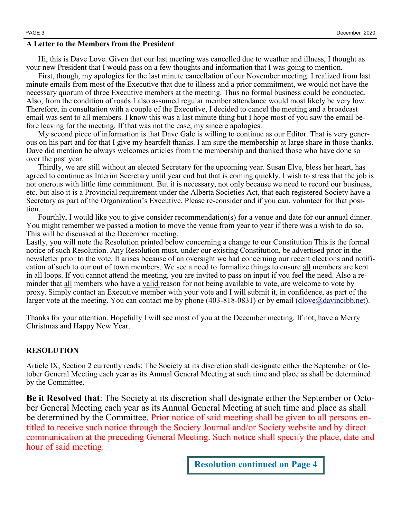#### **A Letter to the Members from the President**

Hi, this is Dave Love. Given that our last meeting was cancelled due to weather and illness, I thought as your new President that I would pass on a few thoughts and information that I was going to mention.

First, though, my apologies for the last minute cancellation of our November meeting. I realized from last minute emails from most of the Executive that due to illness and a prior commitment, we would not have the necessary quorum of three Executive members at the meeting. Thus no formal business could be conducted. Also, from the condition of roads I also assumed regular member attendance would most likely be very low. Therefore, in consultation with a couple of the Executive, I decided to cancel the meeting and a broadcast email was sent to all members. I know this was a last minute thing but I hope most of you saw the email before leaving for the meeting. If that was not the case, my sincere apologies.

My second piece of information is that Dave Gale is willing to continue as our Editor. That is very generous on his part and for that I give my heartfelt thanks. I am sure the membership at large share in those thanks. Dave did mention he always welcomes articles from the membership and thanked those who have done so over the past year.

Thirdly, we are still without an elected Secretary for the upcoming year. Susan Elve, bless her heart, has agreed to continue as Interim Secretary until year end but that is coming quickly. I wish to stress that the job is not onerous with little time commitment. But it is necessary, not only because we need to record our business, etc. but also it is a Provincial requirement under the Alberta Societies Act, that each registered Society have a Secretary as part of the Organization's Executive. Please re-consider and if you can, volunteer for that position.

Fourthly, I would like you to give consider recommendation(s) for a venue and date for our annual dinner. You might remember we passed a motion to move the venue from year to year if there was a wish to do so. This will be discussed at the December meeting.

Lastly, you will note the Resolution printed below concerning a change to our Constitution This is the formal notice of such Resolution. Any Resolution must, under our existing Constitution, be advertised prior in the newsletter prior to the vote. It arises because of an oversight we had concerning our recent elections and notification of such to our out of town members. We see a need to formalize things to ensure all members are kept in all loops. If you cannot attend the meeting, you are invited to pass on input if you feel the need. Also a reminder that all members who have a valid reason for not being available to vote, are welcome to vote by proxy. Simply contact an Executive member with your vote and I will submit it, in confidence, as part of the larger vote at the meeting. You can contact me by phone  $(403-818-0831)$  or by email  $(dlove@davincibb.net)$ .

Thanks for your attention. Hopefully I will see most of you at the December meeting. If not, have a Merry Christmas and Happy New Year.

#### **RESOLUTION**

Article IX, Section 2 currently reads: The Society at its discretion shall designate either the September or October General Meeting each year as its Annual General Meeting at such time and place as shall be determined by the Committee.

**Be it Resolved that**: The Society at its discretion shall designate either the September or October General Meeting each year as its Annual General Meeting at such time and place as shall be determined by the Committee. Prior notice of said meeting shall be given to all persons entitled to receive such notice through the Society Journal and/or Society website and by direct communication at the preceding General Meeting. Such notice shall specify the place, date and hour of said meeting.